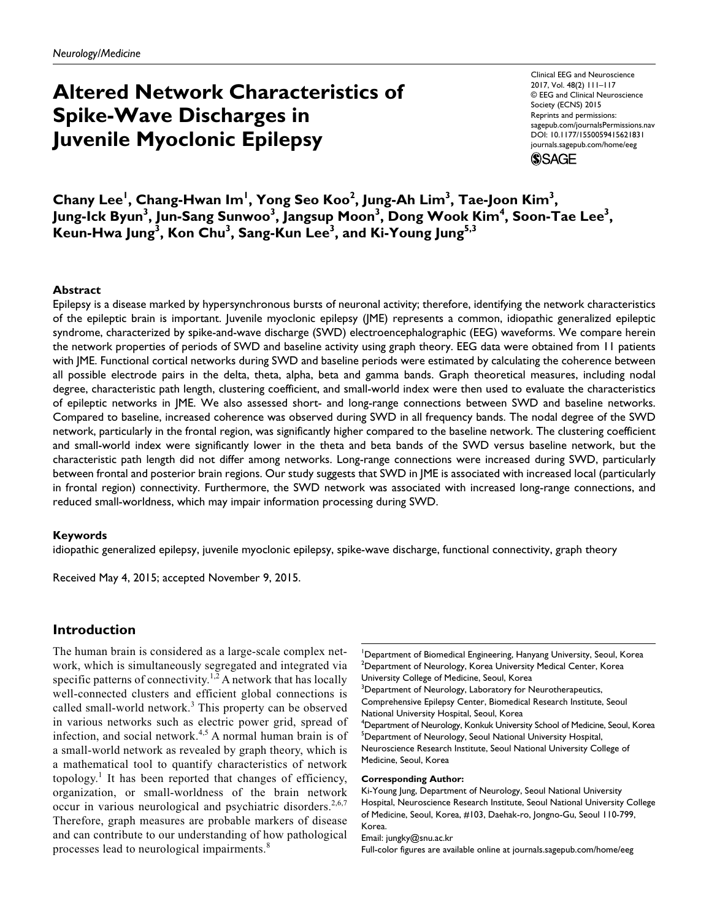# **Altered Network Characteristics of Spike-Wave Discharges in Juvenile Myoclonic Epilepsy**

Clinical EEG and Neuroscience 2017, Vol. 48(2) 111–117 © EEG and Clinical Neuroscience Society (ECNS) 2015 Reprints and permissions: [sagepub.com/journalsPermissions.nav](http://sagepub.com/journalsPermissions.nav) DOI: [10.1177/1550059415621831](http://doi.org/10.1177/1550059415621831) [journals.sagepub.com/home/eeg](http://journals.sagepub.com/home/eeg) (\$)SAGE

 $\mathsf{Chany}\ \mathsf{Lee}^{\mathsf{I}},\ \mathsf{Chang}\text{-}\mathsf{Hwan}\ \mathsf{Im}^{\mathsf{I}},\ \mathsf{Yong}\ \mathsf{Seo}\ \mathsf{Koo}^{\mathsf{2}},\ \mathsf{Jung}\text{-}\mathsf{Ah}\ \mathsf{Lim}^{\mathsf{3}},\ \mathsf{Tae}\text{-}\mathsf{Joon}\ \mathsf{Kim}^{\mathsf{3}},$ Jung-Ick Byun<sup>3</sup>, Jun-Sang Sunwoo<sup>3</sup>, Jangsup Moon<sup>3</sup>, Dong Wook Kim<sup>4</sup>, Soon-Tae Lee<sup>3</sup>, **Keun-Hwa Jung3 , Kon Chu3 , Sang-Kun Lee3 , and Ki-Young Jung5,3**

## **Abstract**

Epilepsy is a disease marked by hypersynchronous bursts of neuronal activity; therefore, identifying the network characteristics of the epileptic brain is important. Juvenile myoclonic epilepsy (JME) represents a common, idiopathic generalized epileptic syndrome, characterized by spike-and-wave discharge (SWD) electroencephalographic (EEG) waveforms. We compare herein the network properties of periods of SWD and baseline activity using graph theory. EEG data were obtained from 11 patients with JME. Functional cortical networks during SWD and baseline periods were estimated by calculating the coherence between all possible electrode pairs in the delta, theta, alpha, beta and gamma bands. Graph theoretical measures, including nodal degree, characteristic path length, clustering coefficient, and small-world index were then used to evaluate the characteristics of epileptic networks in JME. We also assessed short- and long-range connections between SWD and baseline networks. Compared to baseline, increased coherence was observed during SWD in all frequency bands. The nodal degree of the SWD network, particularly in the frontal region, was significantly higher compared to the baseline network. The clustering coefficient and small-world index were significantly lower in the theta and beta bands of the SWD versus baseline network, but the characteristic path length did not differ among networks. Long-range connections were increased during SWD, particularly between frontal and posterior brain regions. Our study suggests that SWD in JME is associated with increased local (particularly in frontal region) connectivity. Furthermore, the SWD network was associated with increased long-range connections, and reduced small-worldness, which may impair information processing during SWD.

#### **Keywords**

idiopathic generalized epilepsy, juvenile myoclonic epilepsy, spike-wave discharge, functional connectivity, graph theory

Received May 4, 2015; accepted November 9, 2015.

## **Introduction**

The human brain is considered as a large-scale complex network, which is simultaneously segregated and integrated via specific patterns of connectivity.<sup>1,2</sup> A network that has locally well-connected clusters and efficient global connections is called small-world network.<sup>3</sup> This property can be observed in various networks such as electric power grid, spread of infection, and social network.<sup>4,5</sup> A normal human brain is of a small-world network as revealed by graph theory, which is a mathematical tool to quantify characteristics of network topology.<sup>1</sup> It has been reported that changes of efficiency, organization, or small-worldness of the brain network occur in various neurological and psychiatric disorders.<sup>2,6,7</sup> Therefore, graph measures are probable markers of disease and can contribute to our understanding of how pathological processes lead to neurological impairments.<sup>8</sup>

<sup>1</sup>Department of Biomedical Engineering, Hanyang University, Seoul, Korea  $^{2}$ Department of Neurology, Korea University Medical Center, Korea University College of Medicine, Seoul, Korea  $3$ Department of Neurology, Laboratory for Neurotherapeutics, Comprehensive Epilepsy Center, Biomedical Research Institute, Seoul National University Hospital, Seoul, Korea 4 Department of Neurology, Konkuk University School of Medicine, Seoul, Korea <sup>5</sup>Department of Neurology, Seoul National University Hospital, Neuroscience Research Institute, Seoul National University College of Medicine, Seoul, Korea **Corresponding Author:**

Ki-Young Jung, Department of Neurology, Seoul National University Hospital, Neuroscience Research Institute, Seoul National University College of Medicine, Seoul, Korea, #103, Daehak-ro, Jongno-Gu, Seoul 110-799, Korea.

Email: [jungky@snu.ac.kr](mailto:jungky@snu.ac.kr)

Full-color figures are available online at journals.sagepub.com/home/eeg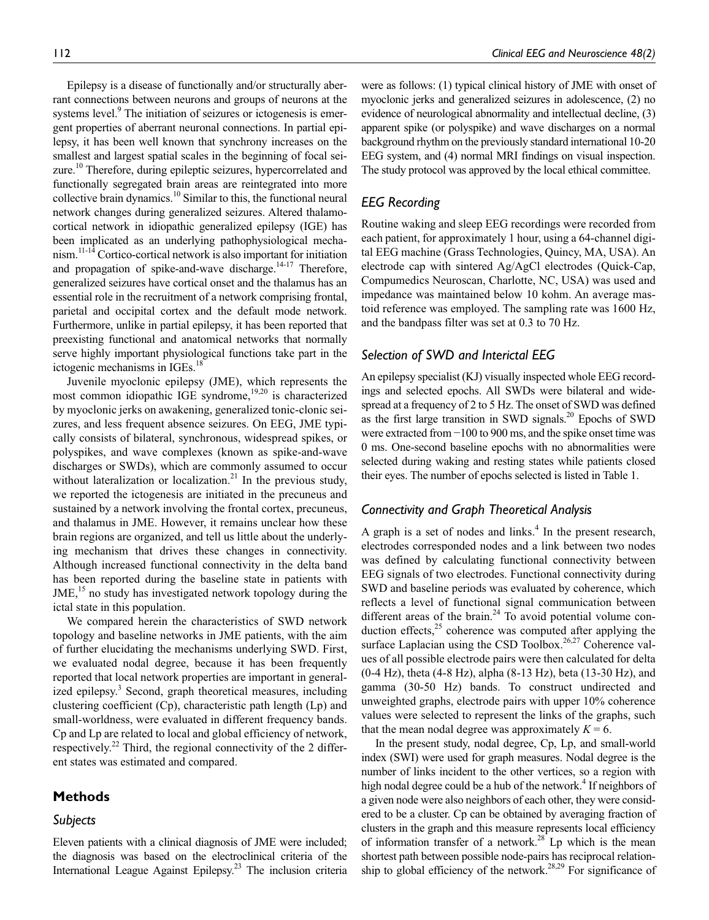Epilepsy is a disease of functionally and/or structurally aberrant connections between neurons and groups of neurons at the systems level.<sup>9</sup> The initiation of seizures or ictogenesis is emergent properties of aberrant neuronal connections. In partial epilepsy, it has been well known that synchrony increases on the smallest and largest spatial scales in the beginning of focal seizure.<sup>10</sup> Therefore, during epileptic seizures, hypercorrelated and functionally segregated brain areas are reintegrated into more collective brain dynamics.10 Similar to this, the functional neural network changes during generalized seizures. Altered thalamocortical network in idiopathic generalized epilepsy (IGE) has been implicated as an underlying pathophysiological mechanism.11-14 Cortico-cortical network is also important for initiation and propagation of spike-and-wave discharge.<sup>14-17</sup> Therefore, generalized seizures have cortical onset and the thalamus has an essential role in the recruitment of a network comprising frontal, parietal and occipital cortex and the default mode network. Furthermore, unlike in partial epilepsy, it has been reported that preexisting functional and anatomical networks that normally serve highly important physiological functions take part in the ictogenic mechanisms in IGEs.<sup>18</sup>

Juvenile myoclonic epilepsy (JME), which represents the most common idiopathic IGE syndrome,<sup>19,20</sup> is characterized by myoclonic jerks on awakening, generalized tonic-clonic seizures, and less frequent absence seizures. On EEG, JME typically consists of bilateral, synchronous, widespread spikes, or polyspikes, and wave complexes (known as spike-and-wave discharges or SWDs), which are commonly assumed to occur without lateralization or localization.<sup>21</sup> In the previous study, we reported the ictogenesis are initiated in the precuneus and sustained by a network involving the frontal cortex, precuneus, and thalamus in JME. However, it remains unclear how these brain regions are organized, and tell us little about the underlying mechanism that drives these changes in connectivity. Although increased functional connectivity in the delta band has been reported during the baseline state in patients with  $JME<sub>15</sub>$  no study has investigated network topology during the ictal state in this population.

We compared herein the characteristics of SWD network topology and baseline networks in JME patients, with the aim of further elucidating the mechanisms underlying SWD. First, we evaluated nodal degree, because it has been frequently reported that local network properties are important in generalized epilepsy.<sup>3</sup> Second, graph theoretical measures, including clustering coefficient (Cp), characteristic path length (Lp) and small-worldness, were evaluated in different frequency bands. Cp and Lp are related to local and global efficiency of network, respectively.<sup>22</sup> Third, the regional connectivity of the 2 different states was estimated and compared.

# **Methods**

## *Subjects*

Eleven patients with a clinical diagnosis of JME were included; the diagnosis was based on the electroclinical criteria of the International League Against Epilepsy.23 The inclusion criteria

were as follows: (1) typical clinical history of JME with onset of myoclonic jerks and generalized seizures in adolescence, (2) no evidence of neurological abnormality and intellectual decline, (3) apparent spike (or polyspike) and wave discharges on a normal background rhythm on the previously standard international 10-20 EEG system, and (4) normal MRI findings on visual inspection. The study protocol was approved by the local ethical committee.

# *EEG Recording*

Routine waking and sleep EEG recordings were recorded from each patient, for approximately 1 hour, using a 64-channel digital EEG machine (Grass Technologies, Quincy, MA, USA). An electrode cap with sintered Ag/AgCl electrodes (Quick-Cap, Compumedics Neuroscan, Charlotte, NC, USA) was used and impedance was maintained below 10 kohm. An average mastoid reference was employed. The sampling rate was 1600 Hz, and the bandpass filter was set at 0.3 to 70 Hz.

# *Selection of SWD and Interictal EEG*

An epilepsy specialist (KJ) visually inspected whole EEG recordings and selected epochs. All SWDs were bilateral and widespread at a frequency of 2 to 5 Hz. The onset of SWD was defined as the first large transition in SWD signals. $^{20}$  Epochs of SWD were extracted from −100 to 900 ms, and the spike onset time was 0 ms. One-second baseline epochs with no abnormalities were selected during waking and resting states while patients closed their eyes. The number of epochs selected is listed in Table 1.

# *Connectivity and Graph Theoretical Analysis*

A graph is a set of nodes and  $links<sup>4</sup>$ . In the present research, electrodes corresponded nodes and a link between two nodes was defined by calculating functional connectivity between EEG signals of two electrodes. Functional connectivity during SWD and baseline periods was evaluated by coherence, which reflects a level of functional signal communication between different areas of the brain. $^{24}$  To avoid potential volume conduction effects, $25$  coherence was computed after applying the surface Laplacian using the CSD Toolbox.<sup>26,27</sup> Coherence values of all possible electrode pairs were then calculated for delta (0-4 Hz), theta (4-8 Hz), alpha (8-13 Hz), beta (13-30 Hz), and gamma (30-50 Hz) bands. To construct undirected and unweighted graphs, electrode pairs with upper 10% coherence values were selected to represent the links of the graphs, such that the mean nodal degree was approximately  $K = 6$ .

In the present study, nodal degree, Cp, Lp, and small-world index (SWI) were used for graph measures. Nodal degree is the number of links incident to the other vertices, so a region with high nodal degree could be a hub of the network.<sup>4</sup> If neighbors of a given node were also neighbors of each other, they were considered to be a cluster. Cp can be obtained by averaging fraction of clusters in the graph and this measure represents local efficiency of information transfer of a network.<sup>28</sup> Lp which is the mean shortest path between possible node-pairs has reciprocal relationship to global efficiency of the network.<sup>28,29</sup> For significance of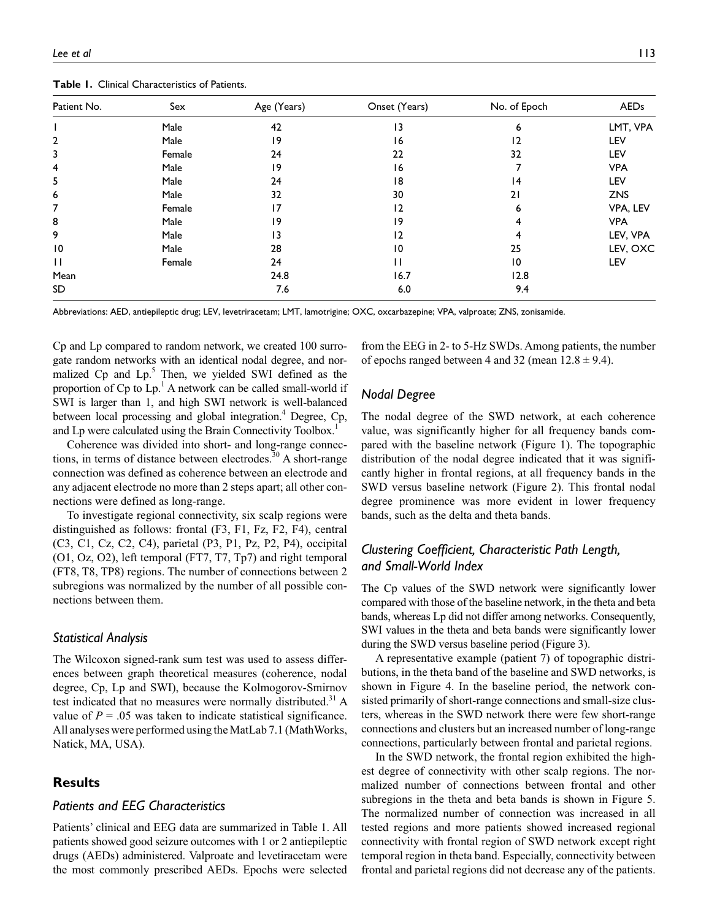| <b>Table 1.</b> Cillical Characteristics of Fatients. |        |             |               |              |             |
|-------------------------------------------------------|--------|-------------|---------------|--------------|-------------|
| Patient No.                                           | Sex    | Age (Years) | Onset (Years) | No. of Epoch | <b>AEDs</b> |
|                                                       | Male   | 42          | 13            | ь            | LMT, VPA    |
|                                                       | Male   | 19          | 16            | 12           | LEV         |
|                                                       | Female | 24          | 22            | 32           | LEV         |
|                                                       | Male   | 19          | 16            |              | <b>VPA</b>  |
|                                                       | Male   | 24          | 18            | 14           | LEV         |
| D                                                     | Male   | 32          | 30            | ا 2          | <b>ZNS</b>  |
|                                                       | Female | 17          | 12            | 6            | VPA, LEV    |
| 8                                                     | Male   | 19          | 19            |              | <b>VPA</b>  |
|                                                       | Male   | 13          | 12            |              | LEV, VPA    |
|                                                       |        |             |               |              |             |

10 Male 28 10 25 LEV, OXC 11 **11** Female 24 24 11 10 LEV

**Table 1.** Clinical Characteristics of Patients.

Abbreviations: AED, antiepileptic drug; LEV, levetriracetam; LMT, lamotrigine; OXC, oxcarbazepine; VPA, valproate; ZNS, zonisamide.

Mean 24.8 16.7 12.8 SD 7.6 6.0 9.4

Cp and Lp compared to random network, we created 100 surrogate random networks with an identical nodal degree, and normalized Cp and Lp.<sup>5</sup> Then, we yielded SWI defined as the proportion of  $Cp$  to  $Lp$ .<sup>1</sup> A network can be called small-world if SWI is larger than 1, and high SWI network is well-balanced between local processing and global integration.<sup>4</sup> Degree, Cp, and Lp were calculated using the Brain Connectivity Toolbox.<sup>1</sup>

Coherence was divided into short- and long-range connections, in terms of distance between electrodes.<sup>30</sup> A short-range connection was defined as coherence between an electrode and any adjacent electrode no more than 2 steps apart; all other connections were defined as long-range.

To investigate regional connectivity, six scalp regions were distinguished as follows: frontal (F3, F1, Fz, F2, F4), central (C3, C1, Cz, C2, C4), parietal (P3, P1, Pz, P2, P4), occipital (O1, Oz, O2), left temporal (FT7, T7, Tp7) and right temporal (FT8, T8, TP8) regions. The number of connections between 2 subregions was normalized by the number of all possible connections between them.

## *Statistical Analysis*

The Wilcoxon signed-rank sum test was used to assess differences between graph theoretical measures (coherence, nodal degree, Cp, Lp and SWI), because the Kolmogorov-Smirnov test indicated that no measures were normally distributed.<sup>31</sup> A value of  $P = 0.05$  was taken to indicate statistical significance. All analyses were performed using the MatLab 7.1 (MathWorks, Natick, MA, USA).

## **Results**

#### *Patients and EEG Characteristics*

Patients' clinical and EEG data are summarized in Table 1. All patients showed good seizure outcomes with 1 or 2 antiepileptic drugs (AEDs) administered. Valproate and levetiracetam were the most commonly prescribed AEDs. Epochs were selected from the EEG in 2- to 5-Hz SWDs. Among patients, the number of epochs ranged between 4 and 32 (mean  $12.8 \pm 9.4$ ).

## *Nodal Degree*

The nodal degree of the SWD network, at each coherence value, was significantly higher for all frequency bands compared with the baseline network (Figure 1). The topographic distribution of the nodal degree indicated that it was significantly higher in frontal regions, at all frequency bands in the SWD versus baseline network (Figure 2). This frontal nodal degree prominence was more evident in lower frequency bands, such as the delta and theta bands.

# *Clustering Coefficient, Characteristic Path Length, and Small-World Index*

The Cp values of the SWD network were significantly lower compared with those of the baseline network, in the theta and beta bands, whereas Lp did not differ among networks. Consequently, SWI values in the theta and beta bands were significantly lower during the SWD versus baseline period (Figure 3).

A representative example (patient 7) of topographic distributions, in the theta band of the baseline and SWD networks, is shown in Figure 4. In the baseline period, the network consisted primarily of short-range connections and small-size clusters, whereas in the SWD network there were few short-range connections and clusters but an increased number of long-range connections, particularly between frontal and parietal regions.

In the SWD network, the frontal region exhibited the highest degree of connectivity with other scalp regions. The normalized number of connections between frontal and other subregions in the theta and beta bands is shown in Figure 5. The normalized number of connection was increased in all tested regions and more patients showed increased regional connectivity with frontal region of SWD network except right temporal region in theta band. Especially, connectivity between frontal and parietal regions did not decrease any of the patients.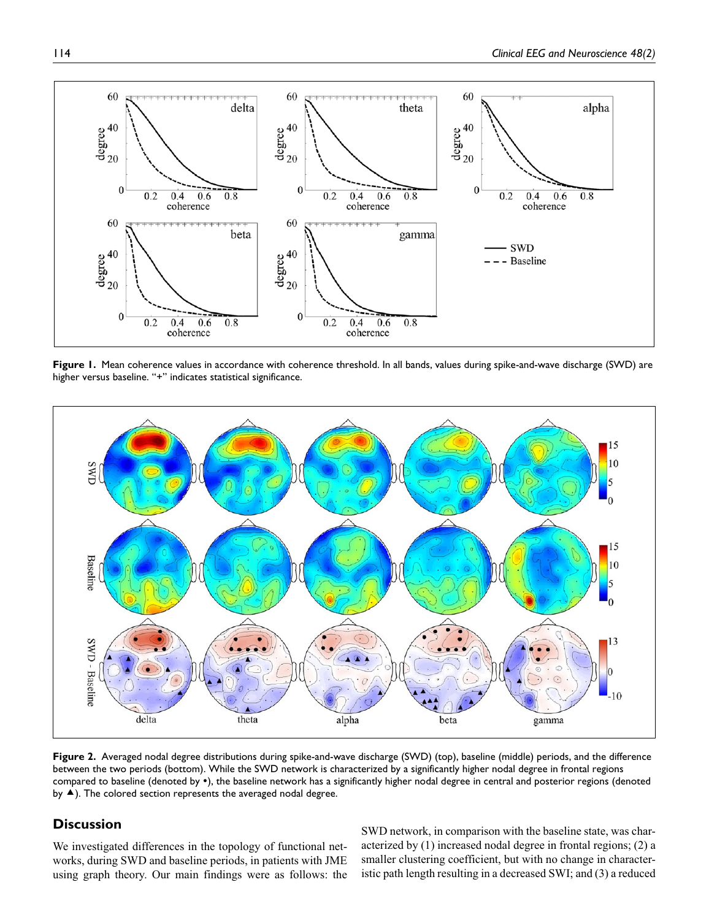

**Figure 1.** Mean coherence values in accordance with coherence threshold. In all bands, values during spike-and-wave discharge (SWD) are higher versus baseline. "+" indicates statistical significance.



**Figure 2.** Averaged nodal degree distributions during spike-and-wave discharge (SWD) (top), baseline (middle) periods, and the difference between the two periods (bottom). While the SWD network is characterized by a significantly higher nodal degree in frontal regions compared to baseline (denoted by •), the baseline network has a significantly higher nodal degree in central and posterior regions (denoted by  $\blacktriangle$ ). The colored section represents the averaged nodal degree.

## **Discussion**

We investigated differences in the topology of functional networks, during SWD and baseline periods, in patients with JME using graph theory. Our main findings were as follows: the SWD network, in comparison with the baseline state, was characterized by (1) increased nodal degree in frontal regions; (2) a smaller clustering coefficient, but with no change in characteristic path length resulting in a decreased SWI; and (3) a reduced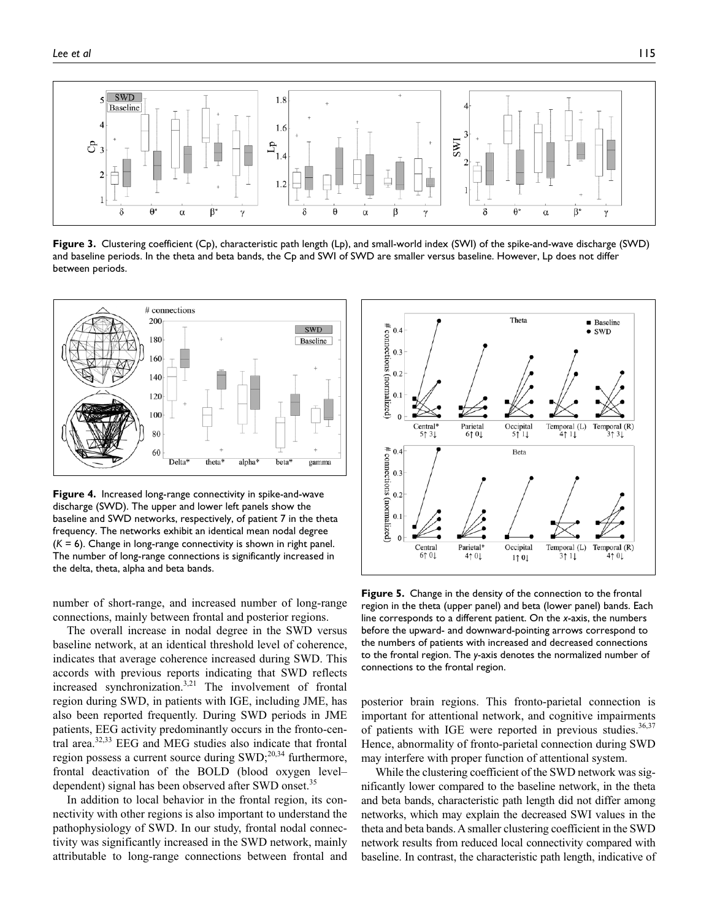

**Figure 3.** Clustering coefficient (Cp), characteristic path length (Lp), and small-world index (SWI) of the spike-and-wave discharge (SWD) and baseline periods. In the theta and beta bands, the Cp and SWI of SWD are smaller versus baseline. However, Lp does not differ between periods.



**Figure 4.** Increased long-range connectivity in spike-and-wave discharge (SWD). The upper and lower left panels show the baseline and SWD networks, respectively, of patient 7 in the theta frequency. The networks exhibit an identical mean nodal degree (*K* = 6). Change in long-range connectivity is shown in right panel. The number of long-range connections is significantly increased in the delta, theta, alpha and beta bands.

number of short-range, and increased number of long-range connections, mainly between frontal and posterior regions.

The overall increase in nodal degree in the SWD versus baseline network, at an identical threshold level of coherence, indicates that average coherence increased during SWD. This accords with previous reports indicating that SWD reflects increased synchronization.3,21 The involvement of frontal region during SWD, in patients with IGE, including JME, has also been reported frequently. During SWD periods in JME patients, EEG activity predominantly occurs in the fronto-central area.32,33 EEG and MEG studies also indicate that frontal region possess a current source during  $SWD$ ;<sup>20,34</sup> furthermore, frontal deactivation of the BOLD (blood oxygen level– dependent) signal has been observed after SWD onset.<sup>35</sup>

In addition to local behavior in the frontal region, its connectivity with other regions is also important to understand the pathophysiology of SWD. In our study, frontal nodal connectivity was significantly increased in the SWD network, mainly attributable to long-range connections between frontal and



**Figure 5.** Change in the density of the connection to the frontal region in the theta (upper panel) and beta (lower panel) bands. Each line corresponds to a different patient. On the *x*-axis, the numbers before the upward- and downward-pointing arrows correspond to the numbers of patients with increased and decreased connections to the frontal region. The *y*-axis denotes the normalized number of connections to the frontal region.

posterior brain regions. This fronto-parietal connection is important for attentional network, and cognitive impairments of patients with IGE were reported in previous studies.<sup>36,37</sup> Hence, abnormality of fronto-parietal connection during SWD may interfere with proper function of attentional system.

While the clustering coefficient of the SWD network was significantly lower compared to the baseline network, in the theta and beta bands, characteristic path length did not differ among networks, which may explain the decreased SWI values in the theta and beta bands. A smaller clustering coefficient in the SWD network results from reduced local connectivity compared with baseline. In contrast, the characteristic path length, indicative of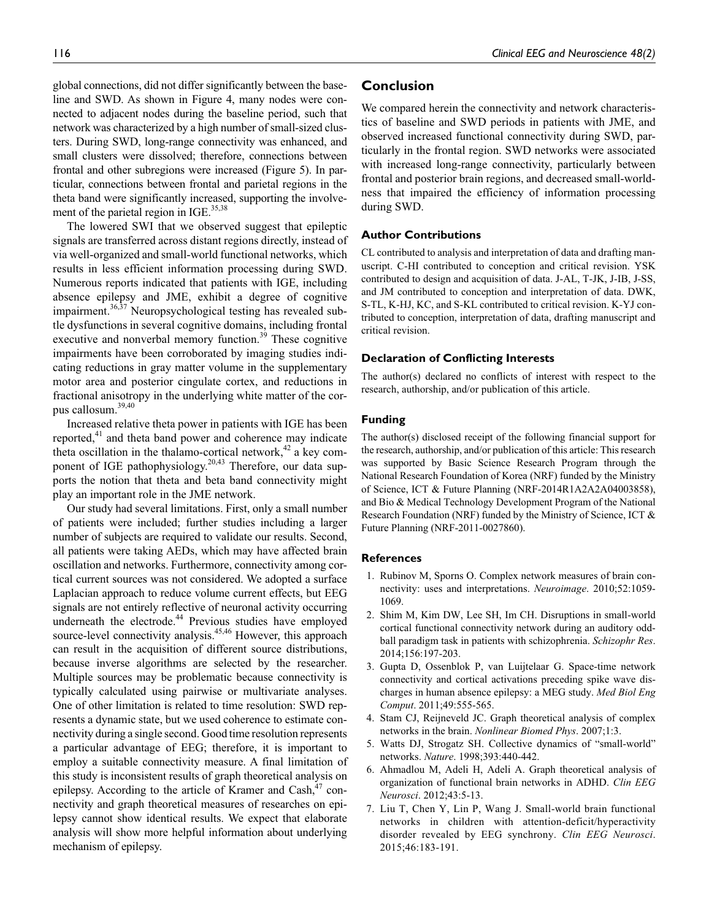global connections, did not differ significantly between the baseline and SWD. As shown in Figure 4, many nodes were connected to adjacent nodes during the baseline period, such that network was characterized by a high number of small-sized clusters. During SWD, long-range connectivity was enhanced, and small clusters were dissolved; therefore, connections between frontal and other subregions were increased (Figure 5). In particular, connections between frontal and parietal regions in the theta band were significantly increased, supporting the involvement of the parietal region in IGE.<sup>35,38</sup>

The lowered SWI that we observed suggest that epileptic signals are transferred across distant regions directly, instead of via well-organized and small-world functional networks, which results in less efficient information processing during SWD. Numerous reports indicated that patients with IGE, including absence epilepsy and JME, exhibit a degree of cognitive impairment. $36,37$  Neuropsychological testing has revealed subtle dysfunctions in several cognitive domains, including frontal executive and nonverbal memory function.<sup>39</sup> These cognitive impairments have been corroborated by imaging studies indicating reductions in gray matter volume in the supplementary motor area and posterior cingulate cortex, and reductions in fractional anisotropy in the underlying white matter of the corpus callosum.39,40

Increased relative theta power in patients with IGE has been reported,<sup>41</sup> and theta band power and coherence may indicate theta oscillation in the thalamo-cortical network, $42$  a key component of IGE pathophysiology.<sup>20,43</sup> Therefore, our data supports the notion that theta and beta band connectivity might play an important role in the JME network.

Our study had several limitations. First, only a small number of patients were included; further studies including a larger number of subjects are required to validate our results. Second, all patients were taking AEDs, which may have affected brain oscillation and networks. Furthermore, connectivity among cortical current sources was not considered. We adopted a surface Laplacian approach to reduce volume current effects, but EEG signals are not entirely reflective of neuronal activity occurring underneath the electrode.<sup>44</sup> Previous studies have employed source-level connectivity analysis.<sup>45,46</sup> However, this approach can result in the acquisition of different source distributions, because inverse algorithms are selected by the researcher. Multiple sources may be problematic because connectivity is typically calculated using pairwise or multivariate analyses. One of other limitation is related to time resolution: SWD represents a dynamic state, but we used coherence to estimate connectivity during a single second. Good time resolution represents a particular advantage of EEG; therefore, it is important to employ a suitable connectivity measure. A final limitation of this study is inconsistent results of graph theoretical analysis on epilepsy. According to the article of Kramer and  $\text{Cash},^{47}$  connectivity and graph theoretical measures of researches on epilepsy cannot show identical results. We expect that elaborate analysis will show more helpful information about underlying mechanism of epilepsy.

## **Conclusion**

We compared herein the connectivity and network characteristics of baseline and SWD periods in patients with JME, and observed increased functional connectivity during SWD, particularly in the frontal region. SWD networks were associated with increased long-range connectivity, particularly between frontal and posterior brain regions, and decreased small-worldness that impaired the efficiency of information processing during SWD.

#### **Author Contributions**

CL contributed to analysis and interpretation of data and drafting manuscript. C-HI contributed to conception and critical revision. YSK contributed to design and acquisition of data. J-AL, T-JK, J-IB, J-SS, and JM contributed to conception and interpretation of data. DWK, S-TL, K-HJ, KC, and S-KL contributed to critical revision. K-YJ contributed to conception, interpretation of data, drafting manuscript and critical revision.

### **Declaration of Conflicting Interests**

The author(s) declared no conflicts of interest with respect to the research, authorship, and/or publication of this article.

#### **Funding**

The author(s) disclosed receipt of the following financial support for the research, authorship, and/or publication of this article: This research was supported by Basic Science Research Program through the National Research Foundation of Korea (NRF) funded by the Ministry of Science, ICT & Future Planning (NRF-2014R1A2A2A04003858), and Bio & Medical Technology Development Program of the National Research Foundation (NRF) funded by the Ministry of Science, ICT & Future Planning (NRF-2011-0027860).

#### **References**

- 1. Rubinov M, Sporns O. Complex network measures of brain connectivity: uses and interpretations. *Neuroimage*. 2010;52:1059- 1069.
- 2. Shim M, Kim DW, Lee SH, Im CH. Disruptions in small-world cortical functional connectivity network during an auditory oddball paradigm task in patients with schizophrenia. *Schizophr Res*. 2014;156:197-203.
- 3. Gupta D, Ossenblok P, van Luijtelaar G. Space-time network connectivity and cortical activations preceding spike wave discharges in human absence epilepsy: a MEG study. *Med Biol Eng Comput*. 2011;49:555-565.
- 4. Stam CJ, Reijneveld JC. Graph theoretical analysis of complex networks in the brain. *Nonlinear Biomed Phys*. 2007;1:3.
- 5. Watts DJ, Strogatz SH. Collective dynamics of "small-world" networks. *Nature*. 1998;393:440-442.
- 6. Ahmadlou M, Adeli H, Adeli A. Graph theoretical analysis of organization of functional brain networks in ADHD. *Clin EEG Neurosci*. 2012;43:5-13.
- 7. Liu T, Chen Y, Lin P, Wang J. Small-world brain functional networks in children with attention-deficit/hyperactivity disorder revealed by EEG synchrony. *Clin EEG Neurosci*. 2015;46:183-191.